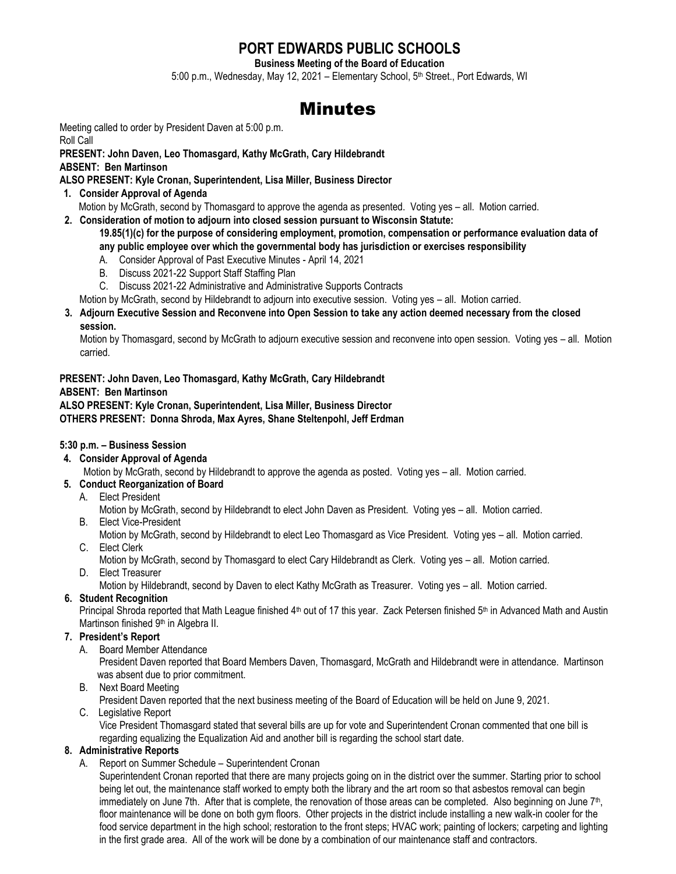# **PORT EDWARDS PUBLIC SCHOOLS**

**Business Meeting of the Board of Education**

5:00 p.m., Wednesday, May 12, 2021 - Elementary School, 5<sup>th</sup> Street., Port Edwards, WI

# **Minutes**

Meeting called to order by President Daven at 5:00 p.m.

Roll Call

**PRESENT: John Daven, Leo Thomasgard, Kathy McGrath, Cary Hildebrandt**

**ABSENT: Ben Martinson**

**ALSO PRESENT: Kyle Cronan, Superintendent, Lisa Miller, Business Director**

**1. Consider Approval of Agenda**

Motion by McGrath, second by Thomasgard to approve the agenda as presented. Voting yes – all. Motion carried.

**2. Consideration of motion to adjourn into closed session pursuant to Wisconsin Statute:** 

**19.85(1)(c) for the purpose of considering employment, promotion, compensation or performance evaluation data of any public employee over which the governmental body has jurisdiction or exercises responsibility**

- A. Consider Approval of Past Executive Minutes April 14, 2021
- B. Discuss 2021-22 Support Staff Staffing Plan
- C. Discuss 2021-22 Administrative and Administrative Supports Contracts

Motion by McGrath, second by Hildebrandt to adjourn into executive session. Voting yes – all. Motion carried.

**3. Adjourn Executive Session and Reconvene into Open Session to take any action deemed necessary from the closed session.** 

 Motion by Thomasgard, second by McGrath to adjourn executive session and reconvene into open session. Voting yes – all. Motion carried.

**PRESENT: John Daven, Leo Thomasgard, Kathy McGrath, Cary Hildebrandt ABSENT: Ben Martinson ALSO PRESENT: Kyle Cronan, Superintendent, Lisa Miller, Business Director OTHERS PRESENT: Donna Shroda, Max Ayres, Shane Steltenpohl, Jeff Erdman**

# **5:30 p.m. – Business Session**

**4. Consider Approval of Agenda**

Motion by McGrath, second by Hildebrandt to approve the agenda as posted. Voting yes – all. Motion carried.

- **5. Conduct Reorganization of Board**
	- A. Elect President

Motion by McGrath, second by Hildebrandt to elect John Daven as President. Voting yes – all. Motion carried.

B. Elect Vice-President

Motion by McGrath, second by Hildebrandt to elect Leo Thomasgard as Vice President. Voting yes – all. Motion carried. C. Elect Clerk

- Motion by McGrath, second by Thomasgard to elect Cary Hildebrandt as Clerk. Voting yes all. Motion carried.
- D. Elect Treasurer

Motion by Hildebrandt, second by Daven to elect Kathy McGrath as Treasurer. Voting yes – all. Motion carried.

 **6. Student Recognition**

Principal Shroda reported that Math League finished 4<sup>th</sup> out of 17 this year. Zack Petersen finished 5<sup>th</sup> in Advanced Math and Austin Martinson finished 9<sup>th</sup> in Algebra II.

# **7. President's Report**

A. Board Member Attendance

President Daven reported that Board Members Daven, Thomasgard, McGrath and Hildebrandt were in attendance. Martinson was absent due to prior commitment.

B. Next Board Meeting

President Daven reported that the next business meeting of the Board of Education will be held on June 9, 2021.

C. Legislative Report

Vice President Thomasgard stated that several bills are up for vote and Superintendent Cronan commented that one bill is regarding equalizing the Equalization Aid and another bill is regarding the school start date.

# **8. Administrative Reports**

A. Report on Summer Schedule – Superintendent Cronan

Superintendent Cronan reported that there are many projects going on in the district over the summer. Starting prior to school being let out, the maintenance staff worked to empty both the library and the art room so that asbestos removal can begin immediately on June 7th. After that is complete, the renovation of those areas can be completed. Also beginning on June 7<sup>th</sup>, floor maintenance will be done on both gym floors. Other projects in the district include installing a new walk-in cooler for the food service department in the high school; restoration to the front steps; HVAC work; painting of lockers; carpeting and lighting in the first grade area. All of the work will be done by a combination of our maintenance staff and contractors.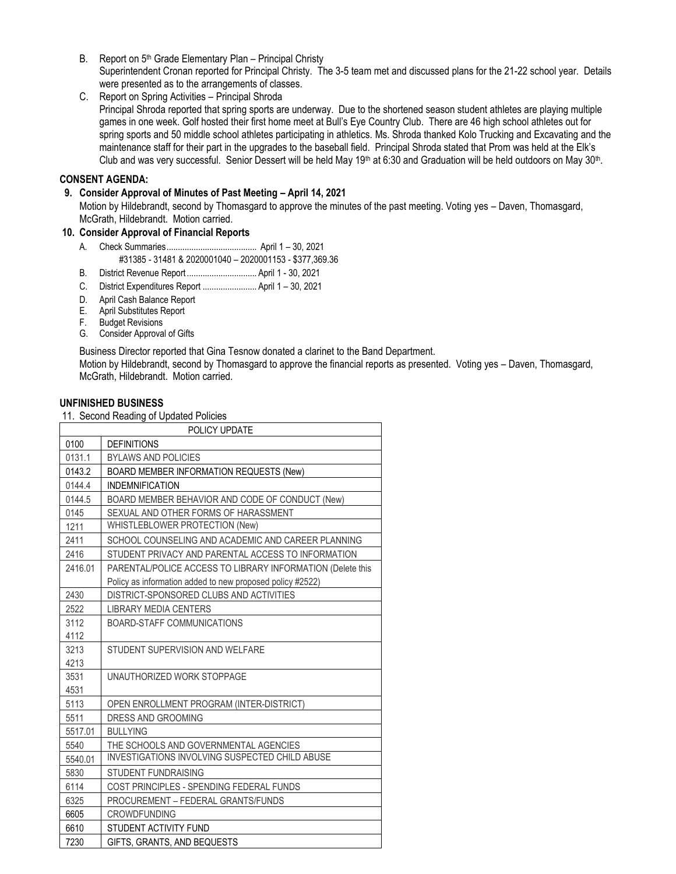- B. Report on 5<sup>th</sup> Grade Elementary Plan Principal Christy Superintendent Cronan reported for Principal Christy. The 3-5 team met and discussed plans for the 21-22 school year. Details were presented as to the arrangements of classes.
- C. Report on Spring Activities Principal Shroda

Principal Shroda reported that spring sports are underway. Due to the shortened season student athletes are playing multiple games in one week. Golf hosted their first home meet at Bull's Eye Country Club. There are 46 high school athletes out for spring sports and 50 middle school athletes participating in athletics. Ms. Shroda thanked Kolo Trucking and Excavating and the maintenance staff for their part in the upgrades to the baseball field. Principal Shroda stated that Prom was held at the Elk's Club and was very successful. Senior Dessert will be held May 19<sup>th</sup> at 6:30 and Graduation will be held outdoors on May 30<sup>th</sup>.

#### **CONSENT AGENDA:**

#### **9. Consider Approval of Minutes of Past Meeting – April 14, 2021**

Motion by Hildebrandt, second by Thomasgard to approve the minutes of the past meeting. Voting yes – Daven, Thomasgard, McGrath, Hildebrandt. Motion carried.

#### **10. Consider Approval of Financial Reports**

- A. Check Summaries........................................ April 1 30, 2021 #31385 - 31481 & 2020001040 – 2020001153 - \$377,369.36
- B. District Revenue Report ............................... April 1 30, 2021
- C. District Expenditures Report ........................ April 1 30, 2021
- D. April Cash Balance Report
- E. April Substitutes Report
- F. Budget Revisions
- G. Consider Approval of Gifts

Business Director reported that Gina Tesnow donated a clarinet to the Band Department.

Motion by Hildebrandt, second by Thomasgard to approve the financial reports as presented. Voting yes – Daven, Thomasgard, McGrath, Hildebrandt. Motion carried.

#### **UNFINISHED BUSINESS**

11. Second Reading of Updated Policies

| POLICY UPDATE |                                                            |
|---------------|------------------------------------------------------------|
| 0100          | <b>DEFINITIONS</b>                                         |
| 0131.1        | <b>BYLAWS AND POLICIES</b>                                 |
| 0143.2        | BOARD MEMBER INFORMATION REQUESTS (New)                    |
| 0144.4        | <b>INDEMNIFICATION</b>                                     |
| 0144.5        | BOARD MEMBER BEHAVIOR AND CODE OF CONDUCT (New)            |
| 0145          | SEXUAL AND OTHER FORMS OF HARASSMENT                       |
| 1211          | WHISTLEBLOWER PROTECTION (New)                             |
| 2411          | SCHOOL COUNSELING AND ACADEMIC AND CAREER PLANNING         |
| 2416          | STUDENT PRIVACY AND PARENTAL ACCESS TO INFORMATION         |
| 2416.01       | PARENTAL/POLICE ACCESS TO LIBRARY INFORMATION (Delete this |
|               | Policy as information added to new proposed policy #2522)  |
| 2430          | DISTRICT-SPONSORED CLUBS AND ACTIVITIES                    |
| 2522          | <b>LIBRARY MEDIA CENTERS</b>                               |
| 3112          | BOARD-STAFF COMMUNICATIONS                                 |
| 4112          |                                                            |
| 3213          | STUDENT SUPERVISION AND WELFARE                            |
| 4213          |                                                            |
| 3531          | UNAUTHORIZED WORK STOPPAGE                                 |
| 4531          |                                                            |
| 5113          | OPEN ENROLLMENT PROGRAM (INTER-DISTRICT)                   |
| 5511          | DRESS AND GROOMING                                         |
| 5517.01       | <b>BULLYING</b>                                            |
| 5540          | THE SCHOOLS AND GOVERNMENTAL AGENCIES                      |
| 5540.01       | INVESTIGATIONS INVOLVING SUSPECTED CHILD ABUSE             |
| 5830          | <b>STUDENT FUNDRAISING</b>                                 |
| 6114          | COST PRINCIPLES - SPENDING FEDERAL FUNDS                   |
| 6325          | PROCUREMENT - FEDERAL GRANTS/FUNDS                         |
| 6605          | <b>CROWDFUNDING</b>                                        |
| 6610          | STUDENT ACTIVITY FUND                                      |
| 7230          | GIFTS, GRANTS, AND BEQUESTS                                |